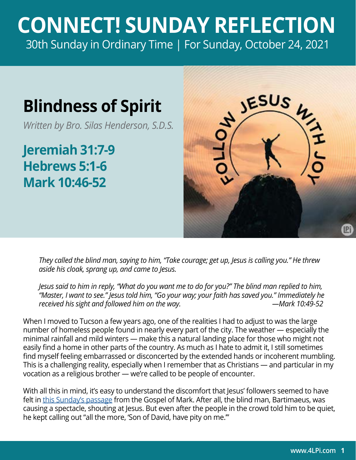## **CONNECT! SUNDAY REFLECTION** [30th Sunday in Ordinary Time | For Sunday, October 24, 2021](https://bible.usccb.org/bible/readings/102421.cfm)

## **Blindness of Spirit**

*Written by Bro. Silas Henderson, S.D.S.*

**Jeremiah 31:7-9 Hebrews 5:1-6 Mark 10:46-52**



*They called the blind man, saying to him, "Take courage; get up, Jesus is calling you." He threw aside his cloak, sprang up, and came to Jesus.* 

*Jesus said to him in reply, "What do you want me to do for you?" The blind man replied to him, "Master, I want to see." Jesus told him, "Go your way; your faith has saved you." Immediately he received his sight and followed him on the way. —Mark 10:49-52* 

When I moved to Tucson a few years ago, one of the realities I had to adjust to was the large number of homeless people found in nearly every part of the city. The weather — especially the minimal rainfall and mild winters — make this a natural landing place for those who might not easily find a home in other parts of the country. As much as I hate to admit it, I still sometimes find myself feeling embarrassed or disconcerted by the extended hands or incoherent mumbling. This is a challenging reality, especially when I remember that as Christians — and particular in my vocation as a religious brother — we're called to be people of encounter.

With all this in mind, it's easy to understand the discomfort that Jesus' followers seemed to have felt in [this Sunday's passage](https://bible.usccb.org/bible/mark/10?46) from the Gospel of Mark. After all, the blind man, Bartimaeus, was causing a spectacle, shouting at Jesus. But even after the people in the crowd told him to be quiet, he kept calling out "all the more, 'Son of David, have pity on me.'"